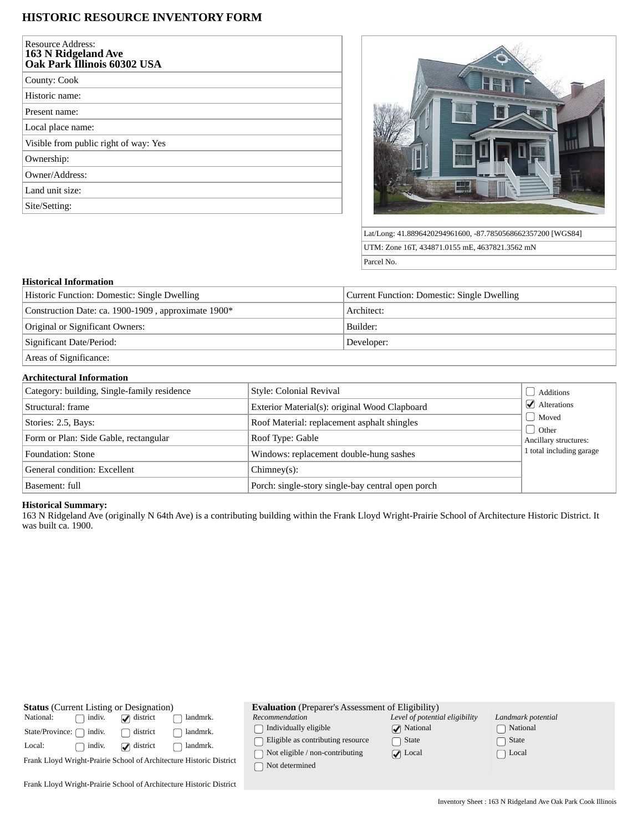# **HISTORIC RESOURCE INVENTORY FORM**

| <b>Resource Address:</b><br>163 N Ridgeland Ave<br>Oak Park Illinois 60302 USA |
|--------------------------------------------------------------------------------|
| County: Cook                                                                   |
| Historic name:                                                                 |
| Present name:                                                                  |
| Local place name:                                                              |
| Visible from public right of way: Yes                                          |
| Ownership:                                                                     |
| Owner/Address:                                                                 |
| Land unit size:                                                                |
| Site/Setting:                                                                  |



Lat/Long: 41.8896420294961600, -87.7850568662357200 [WGS84] UTM: Zone 16T, 434871.0155 mE, 4637821.3562 mN Parcel No.

### **Historical Information**

| Historic Function: Domestic: Single Dwelling        | Current Function: Domestic: Single Dwelling |  |  |
|-----------------------------------------------------|---------------------------------------------|--|--|
| Construction Date: ca. 1900-1909, approximate 1900* | Architect:                                  |  |  |
| Original or Significant Owners:                     | Builder:                                    |  |  |
| Significant Date/Period:                            | Developer:                                  |  |  |
|                                                     |                                             |  |  |

Areas of Significance:

## **Architectural Information**

| Category: building, Single-family residence | Style: Colonial Revival                           | Additions                               |
|---------------------------------------------|---------------------------------------------------|-----------------------------------------|
| Structural: frame                           | Exterior Material(s): original Wood Clapboard     | $\blacktriangleright$ Alterations       |
| Stories: 2.5, Bays:                         | Roof Material: replacement asphalt shingles       | Moved<br>Other<br>Ancillary structures: |
| Form or Plan: Side Gable, rectangular       | Roof Type: Gable                                  |                                         |
| Foundation: Stone                           | Windows: replacement double-hung sashes           | 1 total including garage                |
| General condition: Excellent                | $Chimney(s)$ :                                    |                                         |
| Basement: full                              | Porch: single-story single-bay central open porch |                                         |

## **Historical Summary:**

163 N Ridgeland Ave (originally N 64th Ave) is a contributing building within the Frank Lloyd Wright-Prairie School of Architecture Historic District. It was built ca. 1900.

| <b>Status</b> (Current Listing or Designation)                      |                  | <b>Evaluation</b> (Preparer's Assessment of Eligibility) |                                                                                 |                                                                                        |                                                                 |                                |
|---------------------------------------------------------------------|------------------|----------------------------------------------------------|---------------------------------------------------------------------------------|----------------------------------------------------------------------------------------|-----------------------------------------------------------------|--------------------------------|
| National:<br>State/Province: (                                      | indiv.<br>indiv. | $\Box$ district<br>district                              | landmrk.<br>landmrk.                                                            | Recommendation<br>Individually eligible                                                | Level of potential eligibility<br>$\sqrt{\phantom{a}}$ National | Landmark potential<br>National |
| Local:                                                              | indiv.           | $\Box$ district                                          | landmrk.<br>Frank Lloyd Wright-Prairie School of Architecture Historic District | Eligible as contributing resource<br>Not eligible / non-contributing<br>Not determined | □ State<br>$\sqrt{ }$ Local                                     | State<br>Local                 |
| Frank Lloyd Wright-Prairie School of Architecture Historic District |                  |                                                          |                                                                                 |                                                                                        |                                                                 |                                |